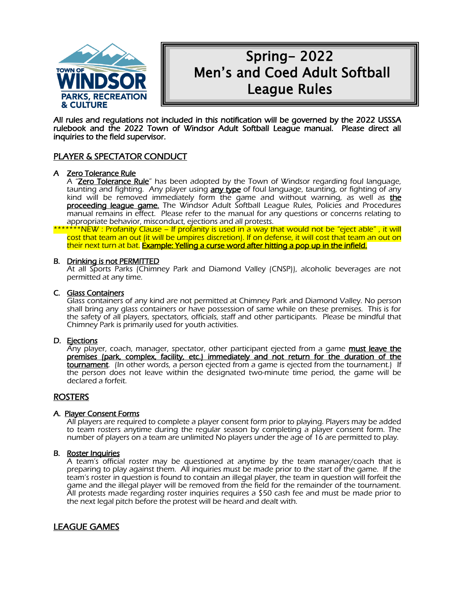

# Spring- 2022 Men's and Coed Adult Softball League Rules

All rules and regulations not included in this notification will be governed by the 2022 USSSA rulebook and the 2022 Town of Windsor Adult Softball League manual. Please direct all inquiries to the field supervisor.

# PLAYER & SPECTATOR CONDUCT

#### A Zero Tolerance Rule

A "Zero Tolerance Rule" has been adopted by the Town of Windsor regarding foul language, taunting and fighting. Any player using **any type** of foul language, taunting, or fighting of any kind will be removed immediately form the game and without warning, as well as the proceeding league game. The Windsor Adult Softball League Rules, Policies and Procedures manual remains in effect. Please refer to the manual for any questions or concerns relating to appropriate behavior, misconduct, ejections and all protests.

\*\*\*\*\*\*\*NEW : Profanity Clause – If profanity is used in a way that would not be "eject able" , it will cost that team an out (it will be umpires discretion). If on defense, it will cost that team an out on their next turn at bat. Example: Yelling a curse word after hitting a pop up in the infield.

#### B. Drinking is not PERMITTED

At all Sports Parks (Chimney Park and Diamond Valley (CNSP)), alcoholic beverages are not permitted at any time.

#### C. Glass Containers

Glass containers of any kind are not permitted at Chimney Park and Diamond Valley. No person shall bring any glass containers or have possession of same while on these premises. This is for the safety of all players, spectators, officials, staff and other participants. Please be mindful that Chimney Park is primarily used for youth activities.

#### D. Ejections

Any player, coach, manager, spectator, other participant ejected from a game must leave the premises (park, complex, facility, etc.) immediately and not return for the duration of the tournament. (In other words, a person ejected from a game is ejected from the tournament.) If the person does not leave within the designated two-minute time period, the game will be declared a forfeit.

# ROSTERS

#### A. Player Consent Forms

All players are required to complete a player consent form prior to playing. Players may be added to team rosters anytime during the regular season by completing a player consent form. The number of players on a team are unlimited No players under the age of 16 are permitted to play.

#### B. Roster Inquiries

A team's official roster may be questioned at anytime by the team manager/coach that is preparing to play against them. All inquiries must be made prior to the start of the game. If the team's roster in question is found to contain an illegal player, the team in question will forfeit the game and the illegal player will be removed from the field for the remainder of the tournament. All protests made regarding roster inquiries requires a \$50 cash fee and must be made prior to the next legal pitch before the protest will be heard and dealt with.

# LEAGUE GAMES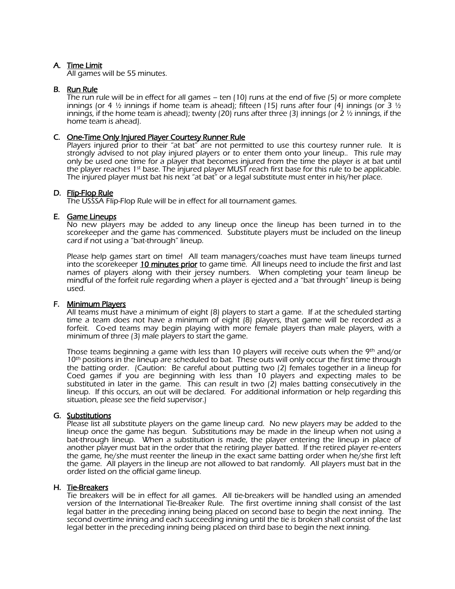# A. Time Limit

All games will be 55 minutes.

#### B. Run Rule

The run rule will be in effect for all games – ten (10) runs at the end of five (5) or more complete innings (or 4  $\frac{1}{2}$  innings if home team is ahead); fifteen (15) runs after four (4) innings (or 3  $\frac{1}{2}$ innings, if the home team is ahead); twenty (20) runs after three (3) innings (or 2  $\frac{1}{2}$  innings, if the home team is ahead).

#### C. One-Time Only Injured Player Courtesy Runner Rule

Players injured prior to their "at bat" are not permitted to use this courtesy runner rule. It is strongly advised to not play injured players or to enter them onto your lineup.. This rule may only be used one time for a player that becomes injured from the time the player is at bat until the player reaches 1st base. The injured player MUST reach first base for this rule to be applicable. The injured player must bat his next "at bat" or a legal substitute must enter in his/her place.

#### D. Flip-Flop Rule

The USSSA Flip-Flop Rule will be in effect for all tournament games.

#### E. Game Lineups

No new players may be added to any lineup once the lineup has been turned in to the scorekeeper and the game has commenced. Substitute players must be included on the lineup card if not using a "bat-through" lineup.

Please help games start on time! All team managers/coaches must have team lineups turned into the scorekeeper 10 minutes prior to game time. All lineups need to include the first and last names of players along with their jersey numbers. When completing your team lineup be mindful of the forfeit rule regarding when a player is ejected and a "bat through" lineup is being used.

#### F. Minimum Players

All teams must have a minimum of eight (8) players to start a game. If at the scheduled starting time a team does not have a minimum of eight (8) players, that game will be recorded as a forfeit. Co-ed teams may begin playing with more female players than male players, with a minimum of three (3) male players to start the game.

Those teams beginning a game with less than 10 players will receive outs when the  $9<sup>th</sup>$  and/or 10<sup>th</sup> positions in the lineup are scheduled to bat. These outs will only occur the first time through the batting order. (Caution: Be careful about putting two (2) females together in a lineup for Coed games if you are beginning with less than 10 players and expecting males to be substituted in later in the game. This can result in two (2) males batting consecutively in the lineup. If this occurs, an out will be declared. For additional information or help regarding this situation, please see the field supervisor.)

#### G. Substitutions

Please list all substitute players on the game lineup card. No new players may be added to the lineup once the game has begun. Substitutions may be made in the lineup when not using a bat-through lineup. When a substitution is made, the player entering the lineup in place of another player must bat in the order that the retiring player batted. If the retired player re-enters the game, he/she must reenter the lineup in the exact same batting order when he/she first left the game. All players in the lineup are not allowed to bat randomly. All players must bat in the order listed on the official game lineup.

#### H. Tie-Breakers

Tie breakers will be in effect for all games. All tie-breakers will be handled using an amended version of the International Tie-Breaker Rule. The first overtime inning shall consist of the last legal batter in the preceding inning being placed on second base to begin the next inning. The second overtime inning and each succeeding inning until the tie is broken shall consist of the last legal better in the preceding inning being placed on third base to begin the next inning.